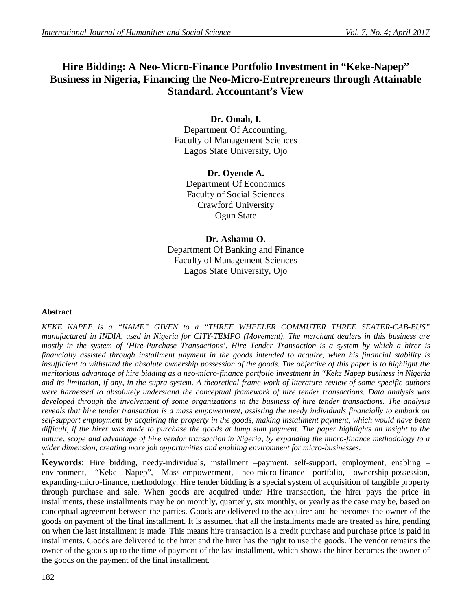# **Hire Bidding: A Neo-Micro-Finance Portfolio Investment in "Keke-Napep" Business in Nigeria, Financing the Neo-Micro-Entrepreneurs through Attainable Standard. Accountant's View**

## **Dr. Omah, I.**

Department Of Accounting, Faculty of Management Sciences Lagos State University, Ojo

**Dr. Oyende A.** Department Of Economics Faculty of Social Sciences Crawford University Ogun State

**Dr. Ashamu O.** Department Of Banking and Finance Faculty of Management Sciences Lagos State University, Ojo

### **Abstract**

*KEKE NAPEP is a "NAME" GIVEN to a "THREE WHEELER COMMUTER THREE SEATER-CAB-BUS" manufactured in INDIA, used in Nigeria for CITY-TEMPO (Movement). The merchant dealers in this business are mostly in the system of 'Hire-Purchase Transactions'. Hire Tender Transaction is a system by which a hirer is financially assisted through installment payment in the goods intended to acquire, when his financial stability is insufficient to withstand the absolute ownership possession of the goods. The objective of this paper is to highlight the meritorious advantage of hire bidding as a neo-micro-finance portfolio investment in "Keke Napep business in Nigeria and its limitation, if any, in the supra-system. A theoretical frame-work of literature review of some specific authors were harnessed to absolutely understand the conceptual framework of hire tender transactions. Data analysis was developed through the involvement of some organizations in the business of hire tender transactions. The analysis reveals that hire tender transaction is a mass empowerment, assisting the needy individuals financially to embark on self-support employment by acquiring the property in the goods, making installment payment, which would have been difficult, if the hirer was made to purchase the goods at lump sum payment. The paper highlights an insight to the nature, scope and advantage of hire vendor transaction in Nigeria, by expanding the micro-finance methodology to a wider dimension, creating more job opportunities and enabling environment for micro-businesses.* **+**

**Keywords**: Hire bidding, needy-individuals, installment –payment, self-support, employment, enabling – environment, "Keke Napep", Mass-empowerment, neo-micro-finance portfolio, ownership-possession, expanding-micro-finance, methodology. Hire tender bidding is a special system of acquisition of tangible property through purchase and sale. When goods are acquired under Hire transaction, the hirer pays the price in installments, these installments may be on monthly, quarterly, six monthly, or yearly as the case may be, based on conceptual agreement between the parties. Goods are delivered to the acquirer and he becomes the owner of the goods on payment of the final installment. It is assumed that all the installments made are treated as hire, pending on when the last installment is made. This means hire transaction is a credit purchase and purchase price is paid in installments. Goods are delivered to the hirer and the hirer has the right to use the goods. The vendor remains the owner of the goods up to the time of payment of the last installment, which shows the hirer becomes the owner of the goods on the payment of the final installment.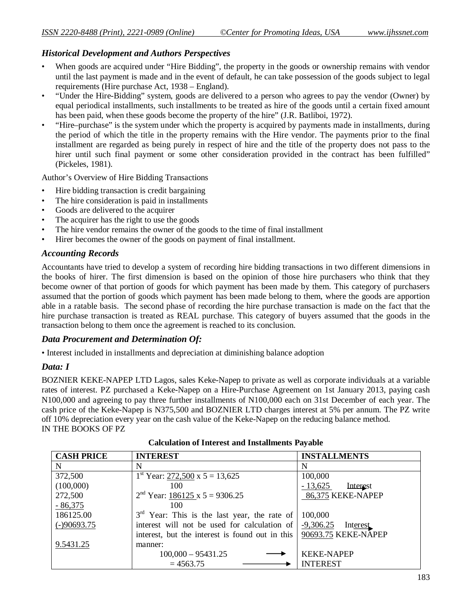## *Historical Development and Authors Perspectives*

- When goods are acquired under "Hire Bidding", the property in the goods or ownership remains with vendor until the last payment is made and in the event of default, he can take possession of the goods subject to legal requirements (Hire purchase Act, 1938 – England).
- "Under the Hire-Bidding" system, goods are delivered to a person who agrees to pay the vendor (Owner) by equal periodical installments, such installments to be treated as hire of the goods until a certain fixed amount has been paid, when these goods become the property of the hire" (J.R. Batliboi, 1972).
- "Hire–purchase" is the system under which the property is acquired by payments made in installments, during the period of which the title in the property remains with the Hire vendor. The payments prior to the final installment are regarded as being purely in respect of hire and the title of the property does not pass to the hirer until such final payment or some other consideration provided in the contract has been fulfilled" (Pickeles, 1981).

Author's Overview of Hire Bidding Transactions

- Hire bidding transaction is credit bargaining
- The hire consideration is paid in installments
- Goods are delivered to the acquirer
- The acquirer has the right to use the goods
- The hire vendor remains the owner of the goods to the time of final installment
- Hirer becomes the owner of the goods on payment of final installment.

### *Accounting Records*

Accountants have tried to develop a system of recording hire bidding transactions in two different dimensions in the books of hirer. The first dimension is based on the opinion of those hire purchasers who think that they become owner of that portion of goods for which payment has been made by them. This category of purchasers assumed that the portion of goods which payment has been made belong to them, where the goods are apportion able in a ratable basis. The second phase of recording the hire purchase transaction is made on the fact that the hire purchase transaction is treated as REAL purchase. This category of buyers assumed that the goods in the transaction belong to them once the agreement is reached to its conclusion.

### *Data Procurement and Determination Of:*

• Interest included in installments and depreciation at diminishing balance adoption

### *Data: I*

BOZNIER KEKE-NAPEP LTD Lagos, sales Keke-Napep to private as well as corporate individuals at a variable rates of interest. PZ purchased a Keke-Napep on a Hire-Purchase Agreement on 1st January 2013, paying cash N100,000 and agreeing to pay three further installments of N100,000 each on 31st December of each year. The cash price of the Keke-Napep is N375,500 and BOZNIER LTD charges interest at 5% per annum. The PZ write off 10% depreciation every year on the cash value of the Keke-Napep on the reducing balance method. IN THE BOOKS OF PZ

| <b>CASH PRICE</b> | <b>INTEREST</b>                                          | <b>INSTALLMENTS</b>     |
|-------------------|----------------------------------------------------------|-------------------------|
| N                 |                                                          | N                       |
| 372,500           | $1st$ Year: 272,500 x 5 = 13,625                         | 100,000                 |
| (100,000)         | 100                                                      | $-13,625$<br>Interest   |
| 272,500           | $2nd$ Year: 186125 x 5 = 9306.25                         | 86,375 KEKE-NAPEP       |
| $-86,375$         | 100                                                      |                         |
| 186125.00         | 3 <sup>rd</sup> Year: This is the last year, the rate of | 100,000                 |
| $(-)90693.75$     | interest will not be used for calculation of             | $-9,306.25$<br>Interest |
|                   | interest, but the interest is found out in this          | 90693.75 KEKE-NAPEP     |
| 9.5431.25         | manner:                                                  |                         |
|                   | $100,000 - 95431.25$                                     | <b>KEKE-NAPEP</b>       |
|                   | $= 4563.75$                                              | <b>INTEREST</b>         |

| <b>Calculation of Interest and Installments Payable</b> |  |  |  |  |
|---------------------------------------------------------|--|--|--|--|
|---------------------------------------------------------|--|--|--|--|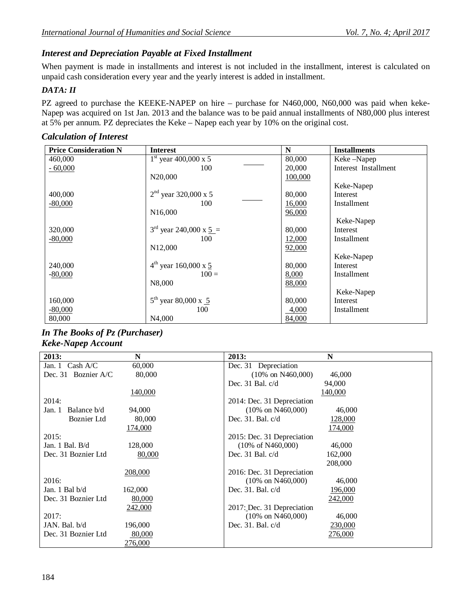# *Interest and Depreciation Payable at Fixed Installment*

When payment is made in installments and interest is not included in the installment, interest is calculated on unpaid cash consideration every year and the yearly interest is added in installment.

# *DATA: II*

PZ agreed to purchase the KEEKE-NAPEP on hire – purchase for N460,000, N60,000 was paid when keke-Napep was acquired on 1st Jan. 2013 and the balance was to be paid annual installments of N80,000 plus interest at 5% per annum. PZ depreciates the Keke – Napep each year by 10% on the original cost.

## *Calculation of Interest*

| <b>Price Consideration N</b> | <b>Interest</b>               | N       | <b>Installments</b>  |
|------------------------------|-------------------------------|---------|----------------------|
| 460,000                      | $1st$ year 400,000 x 5        | 80,000  | Keke –Napep          |
| $-60,000$                    | 100                           | 20,000  | Interest Installment |
|                              | N20,000                       | 100,000 |                      |
|                              |                               |         | Keke-Napep           |
| 400,000                      | $2nd$ year 320,000 x 5        | 80,000  | Interest             |
| $-80,000$                    | 100                           | 16,000  | Installment          |
|                              | N <sub>16</sub> ,000          | 96,000  |                      |
|                              |                               |         | Keke-Napep           |
| 320,000                      | $3^{rd}$ year 240,000 x $5 =$ | 80,000  | Interest             |
| $-80,000$                    | 100                           | 12,000  | Installment          |
|                              | N <sub>12</sub> ,000          | 92,000  |                      |
|                              |                               |         | Keke-Napep           |
| 240,000                      | $4^{th}$ year 160,000 x 5     | 80,000  | Interest             |
| $-80,000$                    | $100 =$                       | 8,000   | Installment          |
|                              | N8,000                        | 88,000  |                      |
|                              |                               |         | Keke-Napep           |
| 160,000                      | $5^{th}$ year 80,000 x 5      | 80,000  | Interest             |
| $-80,000$                    | 100                           | 4,000   | Installment          |
| 80,000                       | N <sub>4</sub> ,000           | 84,000  |                      |

### *In The Books of Pz (Purchaser) Keke-Napep Account*

| 2013:                 | N              | 2013:                         | N       |
|-----------------------|----------------|-------------------------------|---------|
| Cash $A/C$<br>Jan. 1  | 60,000         | Dec. 31 Depreciation          |         |
| Dec. 31 Boznier A/C   | 80,000         | $(10\% \text{ on } N460,000)$ | 46,000  |
|                       |                | Dec. $31$ Bal. $c/d$          | 94,000  |
|                       | 140,000        |                               | 140,000 |
| 2014:                 |                | 2014: Dec. 31 Depreciation    |         |
| Balance b/d<br>Jan. 1 | 94,000         | $(10\% \text{ on } N460,000)$ | 46,000  |
| <b>Boznier</b> Ltd    | 80,000         | Dec. $31.$ Bal. $c/d$         | 128,000 |
|                       | 174,000        |                               | 174,000 |
| 2015:                 |                | 2015: Dec. 31 Depreciation    |         |
| Jan. 1 Bal. B/d       | 128,000        | $(10\% \text{ of N460,000})$  | 46,000  |
| Dec. 31 Boznier Ltd.  | 80,000         | Dec. 31 Bal. $c/d$            | 162,000 |
|                       |                |                               | 208,000 |
|                       | 208,000        | 2016: Dec. 31 Depreciation    |         |
| 2016:                 |                | $(10\% \text{ on } N460,000)$ | 46,000  |
| Jan. 1 Bal $b/d$      | 162,000        | Dec. $31.$ Bal. $c/d$         | 196,000 |
| Dec. 31 Boznier Ltd.  | 80,000         |                               | 242,000 |
|                       | 242,000        | 2017: Dec. 31 Depreciation    |         |
| 2017:                 |                | $(10\% \text{ on } N460,000)$ | 46,000  |
| JAN. Bal. b/d         | 196,000        | Dec. $31.$ Bal. $c/d$         | 230,000 |
| Dec. 31 Boznier Ltd.  | 80,000         |                               | 276,000 |
|                       | <u>276,000</u> |                               |         |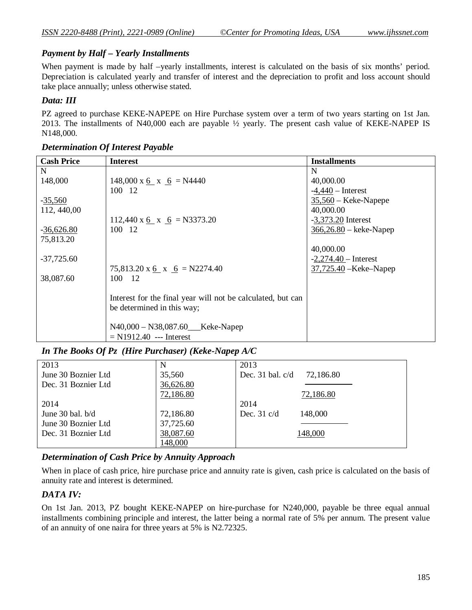## *Payment by Half – Yearly Installments*

When payment is made by half –yearly installments, interest is calculated on the basis of six months' period. Depreciation is calculated yearly and transfer of interest and the depreciation to profit and loss account should take place annually; unless otherwise stated.

### *Data: III*

PZ agreed to purchase KEKE-NAPEPE on Hire Purchase system over a term of two years starting on 1st Jan. 2013. The installments of N40,000 each are payable ½ yearly. The present cash value of KEKE-NAPEP IS N148,000.

| <b>Cash Price</b> | <b>Interest</b>                                             | <b>Installments</b>      |
|-------------------|-------------------------------------------------------------|--------------------------|
| N                 |                                                             | N                        |
| 148,000           | $148,000 \times 6 \times 6 = N4440$                         | 40,000.00                |
|                   | 100 12                                                      | $-4,440$ – Interest      |
| $-35,560$         |                                                             | $35,560$ – Keke-Napepe   |
| 112, 440,00       |                                                             | 40,000.00                |
|                   | 112,440 x <u>6</u> x <u>6</u> = N3373.20                    | $-3,373.20$ Interest     |
| $-36,626.80$      | 100 12                                                      | $366,26.80 -$ keke-Napep |
| 75,813.20         |                                                             |                          |
|                   |                                                             | 40,000.00                |
| $-37,725.60$      |                                                             | $-2,274.40$ – Interest   |
|                   | 75,813.20 x $\underline{6}$ x $\underline{6}$ = N2274.40    | 37,725.40 – Keke–Napep   |
| 38,087.60         | 100 12                                                      |                          |
|                   |                                                             |                          |
|                   | Interest for the final year will not be calculated, but can |                          |
|                   | be determined in this way;                                  |                          |
|                   |                                                             |                          |
|                   | $N40,000 - N38,087.60$ Keke-Napep                           |                          |
|                   | $= N1912.40$ --- Interest                                   |                          |

#### *Determination Of Interest Payable*

### *In The Books Of Pz (Hire Purchaser) (Keke-Napep A/C*

| 2013                 |           | 2013                             |
|----------------------|-----------|----------------------------------|
| June 30 Boznier Ltd  | 35,560    | Dec. 31 bal. $c/d$<br>72,186.80  |
| Dec. 31 Boznier Ltd. | 36,626.80 |                                  |
|                      | 72,186.80 | 72,186.80                        |
| 2014                 |           | 2014                             |
| June 30 bal. $b/d$   | 72,186.80 | Dec. $31 \text{ c/d}$<br>148,000 |
| June 30 Boznier Ltd  | 37,725.60 |                                  |
| Dec. 31 Boznier Ltd. | 38,087.60 | 148,000                          |
|                      | 148,000   |                                  |

## *Determination of Cash Price by Annuity Approach*

When in place of cash price, hire purchase price and annuity rate is given, cash price is calculated on the basis of annuity rate and interest is determined.

## *DATA IV:*

On 1st Jan. 2013, PZ bought KEKE-NAPEP on hire-purchase for N240,000, payable be three equal annual installments combining principle and interest, the latter being a normal rate of 5% per annum. The present value of an annuity of one naira for three years at 5% is N2.72325.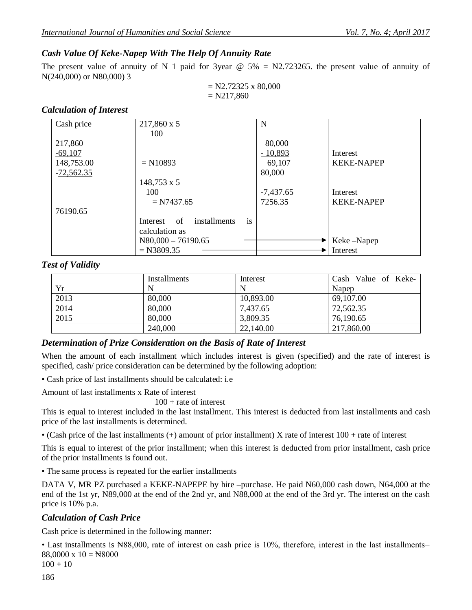# *Cash Value Of Keke-Napep With The Help Of Annuity Rate*

The present value of annuity of N 1 paid for 3year  $\omega$  5% = N2.723265, the present value of annuity of N(240,000) or N80,000) 3

> $= N2.72325 \times 80,000$  $= N217,860$

# *Calculation of Interest*

| Cash price   | 217,860 x 5                                   | N           |                   |
|--------------|-----------------------------------------------|-------------|-------------------|
|              |                                               |             |                   |
|              | 100                                           |             |                   |
| 217,860      |                                               | 80,000      |                   |
| $-69,107$    |                                               | $-10,893$   | Interest          |
| 148,753.00   | $= N10893$                                    | 69,107      | <b>KEKE-NAPEP</b> |
| $-72,562.35$ |                                               | 80,000      |                   |
|              | $148,753 \times 5$                            |             |                   |
|              | 100                                           | $-7,437.65$ | Interest          |
|              | $= N7437.65$                                  | 7256.35     | <b>KEKE-NAPEP</b> |
| 76190.65     |                                               |             |                   |
|              | installments<br>- of<br>Interest<br><i>is</i> |             |                   |
|              | calculation as                                |             |                   |
|              | $N80,000 - 76190.65$                          |             | Keke-Napep        |
|              | $=$ N3809.35                                  |             | Interest          |

## *Test of Validity*

|      | Installments | Interest  | Cash Value of Keke- |
|------|--------------|-----------|---------------------|
| Yr   | N            | N         | Napep               |
| 2013 | 80,000       | 10,893.00 | 69,107.00           |
| 2014 | 80,000       | 7,437.65  | 72,562.35           |
| 2015 | 80,000       | 3,809.35  | 76,190.65           |
|      | 240,000      | 22,140.00 | 217,860.00          |

## *Determination of Prize Consideration on the Basis of Rate of Interest*

When the amount of each installment which includes interest is given (specified) and the rate of interest is specified, cash/ price consideration can be determined by the following adoption:

• Cash price of last installments should be calculated: i.e

Amount of last installments x Rate of interest

100 + rate of interest

This is equal to interest included in the last installment. This interest is deducted from last installments and cash price of the last installments is determined.

• (Cash price of the last installments (+) amount of prior installment) X rate of interest 100 + rate of interest

This is equal to interest of the prior installment; when this interest is deducted from prior installment, cash price of the prior installments is found out.

• The same process is repeated for the earlier installments

DATA V, MR PZ purchased a KEKE-NAPEPE by hire –purchase. He paid N60,000 cash down, N64,000 at the end of the 1st yr, N89,000 at the end of the 2nd yr, and N88,000 at the end of the 3rd yr. The interest on the cash price is 10% p.a.

# *Calculation of Cash Price*

Cash price is determined in the following manner:

• Last installments is N88,000, rate of interest on cash price is 10%, therefore, interest in the last installments=  $88,0000 \times 10 = \text{N}8000$ 

 $100 + 10$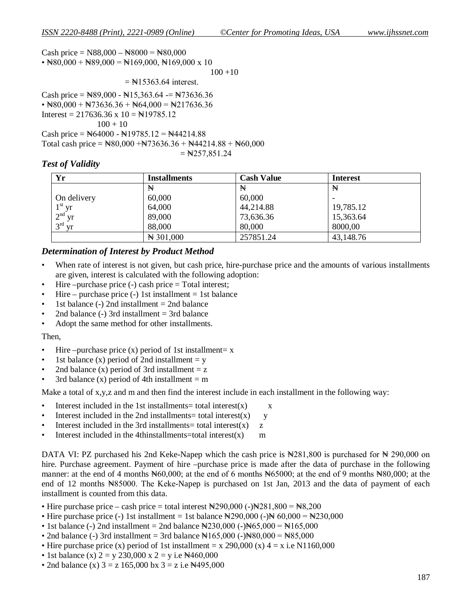Cash price =  $N88,000 - N8000 = N80,000$  $\cdot$  Ne80,000 + Ne89,000 = Ne8169,000, Ne8169,000 x 10  $100 + 10$  $=$  N $15363.64$  interest. Cash price =  $\text{N89,000 - N15,363.64 - N73636.36}$  $\cdot$   $\angle$  N<sub>80</sub>,000 + N<sub>73636.36</sub> + N<sub>64</sub>,000 = N<sub>217636.36</sub> Interest =  $217636.36 \times 10 = \text{N}19785.12$  $100 + 10$ 

Cash price =  $\text{N}64000 - \text{N}19785.12 = \text{N}444214.88$ Total cash price =  $\text{N}80,000 + \text{N}73636.36 + \text{N}44214.88 + \text{N}60,000$ 

### $=$   $\cancel{1}257,851.24$

### *Test of Validity*

| Yr                    | <b>Installments</b> | <b>Cash Value</b> | <b>Interest</b> |
|-----------------------|---------------------|-------------------|-----------------|
|                       | ₩                   | ₩                 | ₩               |
| On delivery           | 60,000              | 60,000            |                 |
| $\frac{1}{2}$ yr      | 64,000              | 44,214.88         | 19,785.12       |
| yr<br>$\angle$        | 89,000              | 73,636.36         | 15,363.64       |
| $2^{\text{rd}}$<br>vr | 88,000              | 80,000            | 8000,00         |
|                       | $\pm 301,000$       | 257851.24         | 43,148.76       |

## *Determination of Interest by Product Method*

- When rate of interest is not given, but cash price, hire-purchase price and the amounts of various installments are given, interest is calculated with the following adoption:
- Hire –purchase price  $(-)$  cash price  $=$  Total interest;
- Hire purchase price  $(-)$  1st installment = 1st balance
- 1st balance  $\left(-\right)$  2nd installment = 2nd balance
- 2nd balance  $(-)$  3rd installment = 3rd balance
- Adopt the same method for other installments.

#### Then,

- Hire –purchase price  $(x)$  period of 1st installment= x
- 1st balance (x) period of 2nd installment  $= y$
- 2nd balance (x) period of 3rd installment  $= z$
- 3rd balance (x) period of 4th installment  $=$  m

Make a total of x,y,z and m and then find the interest include in each installment in the following way:

- Interest included in the 1st installments= total interest $(x)$  x
- Interest included in the 2nd installments= total interest $(x)$  y
- Interest included in the 3rd installments= total interest(x)  $\bar{z}$
- Interest included in the 4thinstallments=total interest $(x)$  m

DATA VI: PZ purchased his 2nd Keke-Napep which the cash price is  $\mathbb{N}281,800$  is purchased for  $\mathbb{N}290,000$  on hire. Purchase agreement. Payment of hire –purchase price is made after the data of purchase in the following manner: at the end of 4 months  $\mathcal{H}60,000$ ; at the end of 6 months  $\mathcal{H}65000$ ; at the end of 9 months  $\mathcal{H}80,000$ ; at the end of 12 months ₦85000. The Keke-Napep is purchased on 1st Jan, 2013 and the data of payment of each installment is counted from this data.

- Hire purchase price cash price = total interest  $\text{H}290,000$  (-) $\text{H}281,800 = \text{H}8,200$
- Hire purchase price (-) 1st installment = 1st balance  $\text{N}290,000$  (-) $\text{N}60,000 = \text{N}230,000$
- 1st balance (-) 2nd installment = 2nd balance  $\text{N}230,000$  (-) $\text{N}65,000 = \text{N}165,000$
- 2nd balance (-) 3rd installment = 3rd balance  $\mathbb{N}165,000$  (-) $\mathbb{N}80,000 = \mathbb{N}85,000$
- Hire purchase price (x) period of 1st installment =  $x$  290,000 (x) 4 =  $x$  i.e N1160,000
- 1st balance (x)  $2 = y 230,000 \text{ x } 2 = y \text{ i.e } \text{N}460,000$
- 2nd balance (x)  $3 = z 165,000$  bx  $3 = z i.e$   $\cancel{1}495,000$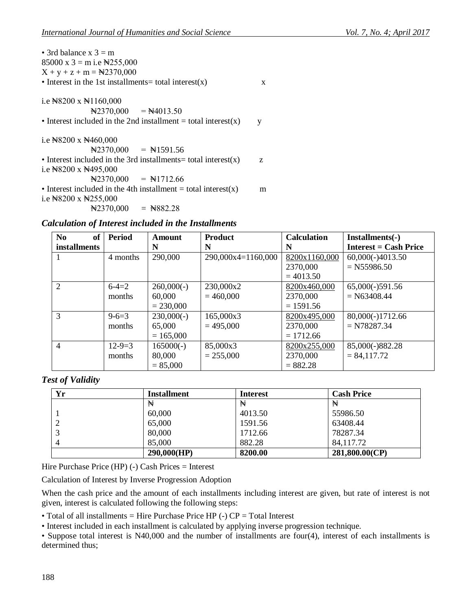| • 3rd balance $x$ 3 = m<br>85000 x 3 = m i.e $\text{N}255,000$     |    |
|--------------------------------------------------------------------|----|
| $X + y + z + m =$ N2370,000                                        |    |
| • Interest in the 1st installments = total interest(x)             | X  |
| i.e $\text{N}8200 \times \text{N}1160,000$                         |    |
| $\mathbb{R}2370,000 = \mathbb{R}4013.50$                           |    |
| • Interest included in the 2nd installment = total interest(x)     | у  |
| i.e $\text{N}8200 \times \text{N}460,000$                          |    |
| $\mathbb{R}2370,000 = \mathbb{R}1591.56$                           |    |
| • Interest included in the 3rd installments = total interest $(x)$ | Z. |
| i.e $\text{N}8200 \times \text{N}495,000$                          |    |
| $\mathbb{N}2370,000 = \mathbb{N}1712.66$                           |    |
| • Interest included in the 4th installment = total interest(x)     | m  |
| i.e $\text{N}8200 \times \text{N}255,000$                          |    |
| $\mathbb{R}2370,000 = \mathbb{R}882.28$                            |    |
|                                                                    |    |

*Calculation of Interest included in the Installments*

| N <sub>0</sub><br>of | Period       | Amount       | <b>Product</b>     | <b>Calculation</b> | Installments(-)              |
|----------------------|--------------|--------------|--------------------|--------------------|------------------------------|
| <i>installments</i>  |              | N            | N                  | N                  | <b>Interest = Cash Price</b> |
|                      | 4 months     | 290,000      | 290,000x4=1160,000 | 8200x1160,000      | $60,000(-)4013.50$           |
|                      |              |              |                    | 2370,000           | $= N55986.50$                |
|                      |              |              |                    | $= 4013.50$        |                              |
| $\overline{2}$       | $6 - 4 = 2$  | $260,000(-)$ | 230,000x2          | 8200x460,000       | $65,000(-)591.56$            |
|                      | months       | 60,000       | $= 460,000$        | 2370,000           | $=$ N63408.44                |
|                      |              | $= 230,000$  |                    | $= 1591.56$        |                              |
| 3                    | $9-6=3$      | $230,000(-)$ | 165,000x3          | 8200x495,000       | 80,000(-)1712.66             |
|                      | months       | 65,000       | $= 495,000$        | 2370,000           | $= N78287.34$                |
|                      |              | $= 165,000$  |                    | $= 1712.66$        |                              |
| $\overline{4}$       | $12 - 9 = 3$ | $165000(-)$  | 85,000x3           | 8200x255,000       | 85,000(-)882.28              |
|                      | months       | 80,000       | $= 255,000$        | 2370,000           | $= 84,117.72$                |
|                      |              | $= 85,000$   |                    | $= 882.28$         |                              |

*Test of Validity* 

| Yr | <b>Installment</b> | <b>Interest</b> | <b>Cash Price</b> |
|----|--------------------|-----------------|-------------------|
|    | Ħ                  | ₩               | ₩                 |
|    | 60,000             | 4013.50         | 55986.50          |
|    | 65,000             | 1591.56         | 63408.44          |
|    | 80,000             | 1712.66         | 78287.34          |
| 4  | 85,000             | 882.28          | 84,117.72         |
|    | 290,000(HP)        | 8200.00         | 281,800.00(CP)    |

Hire Purchase Price (HP) (-) Cash Prices = Interest

Calculation of Interest by Inverse Progression Adoption

When the cash price and the amount of each installments including interest are given, but rate of interest is not given, interest is calculated following the following steps:

• Total of all installments = Hire Purchase Price HP  $(-)$  CP = Total Interest

• Interest included in each installment is calculated by applying inverse progression technique.

• Suppose total interest is N40,000 and the number of installments are four(4), interest of each installments is determined thus;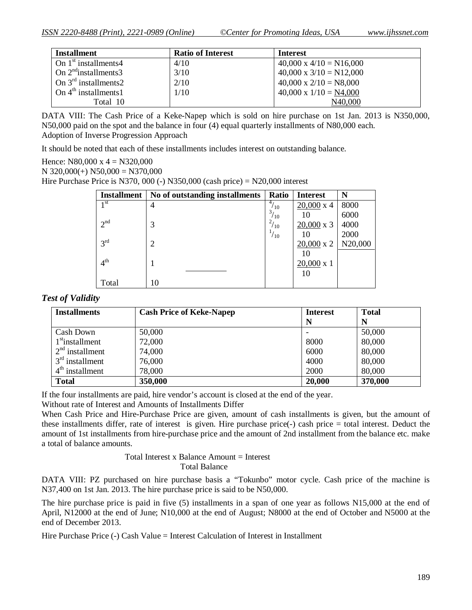| <b>Installment</b>                | <b>Ratio of Interest</b> | <b>Interest</b>                |
|-----------------------------------|--------------------------|--------------------------------|
| On $1st$ installments4            | 4/10                     | $40,000 \times 4/10 = N16,000$ |
| On $2nd$ installments 3           | 3/10                     | $40,000 \times 3/10 = N12,000$ |
| On $3^{\text{rd}}$ installments2  | 2/10                     | $40,000 \times 2/10 = N8,000$  |
| On $4^{\text{th}}$ installments 1 | 1/10                     | $40,000 \times 1/10 = N4,000$  |
| Total 10                          |                          | N40,000                        |

DATA VIII: The Cash Price of a Keke-Napep which is sold on hire purchase on 1st Jan. 2013 is N350,000, N50,000 paid on the spot and the balance in four (4) equal quarterly installments of N80,000 each. Adoption of Inverse Progression Approach

It should be noted that each of these installments includes interest on outstanding balance.

Hence:  $N80,000 \times 4 = N320,000$ 

 $N$  320,000(+)  $N$ 50,000 = N370,000

Hire Purchase Price is N370, 000 (-) N350,000 (cash price) = N20,000 interest

| <b>Installment</b> | No of outstanding installments | Ratio                | <b>Interest</b>   | N       |
|--------------------|--------------------------------|----------------------|-------------------|---------|
| 1 <sup>st</sup>    | 4                              | 4/<br>$\frac{1}{10}$ | $20,000 \times 4$ | 8000    |
|                    |                                | $^{3}/_{10}$         |                   | 6000    |
| 2 <sup>nd</sup>    | 3                              | $^{2}/_{10}$         | $20,000 \times 3$ | 4000    |
|                    |                                | $^{1/10}$            | 10                | 2000    |
| 3 <sup>rd</sup>    | 2                              |                      | $20,000 \times 2$ | N20,000 |
|                    |                                |                      | 10                |         |
| $4^{\text{th}}$    |                                |                      | $20,000 \times 1$ |         |
|                    |                                |                      | 10                |         |
| Total              | 10                             |                      |                   |         |

### *Test of Validity*

| <b>Installments</b>         | <b>Cash Price of Keke-Napep</b> | <b>Interest</b><br>N | <b>Total</b><br>N |  |
|-----------------------------|---------------------------------|----------------------|-------------------|--|
| Cash Down                   | 50,000                          |                      | 50,000            |  |
| 1 <sup>st</sup> installment | 72,000                          | 8000                 | 80,000            |  |
| $2nd$ installment           | 74,000                          | 6000                 | 80,000            |  |
| $3rd$ installment           | 76,000                          | 4000                 | 80,000            |  |
| $4th$ installment           | 78,000                          | 2000                 | 80,000            |  |
| <b>Total</b>                | 350,000                         | 20,000               | 370,000           |  |

If the four installments are paid, hire vendor's account is closed at the end of the year.

Without rate of Interest and Amounts of Installments Differ

When Cash Price and Hire-Purchase Price are given, amount of cash installments is given, but the amount of these installments differ, rate of interest is given. Hire purchase price(-) cash price = total interest. Deduct the amount of 1st installments from hire-purchase price and the amount of 2nd installment from the balance etc. make a total of balance amounts.

> Total Interest x Balance Amount = Interest Total Balance

DATA VIII: PZ purchased on hire purchase basis a "Tokunbo" motor cycle. Cash price of the machine is N37,400 on 1st Jan. 2013. The hire purchase price is said to be N50,000.

The hire purchase price is paid in five (5) installments in a span of one year as follows N15,000 at the end of April, N12000 at the end of June; N10,000 at the end of August; N8000 at the end of October and N5000 at the end of December 2013.

Hire Purchase Price (-) Cash Value = Interest Calculation of Interest in Installment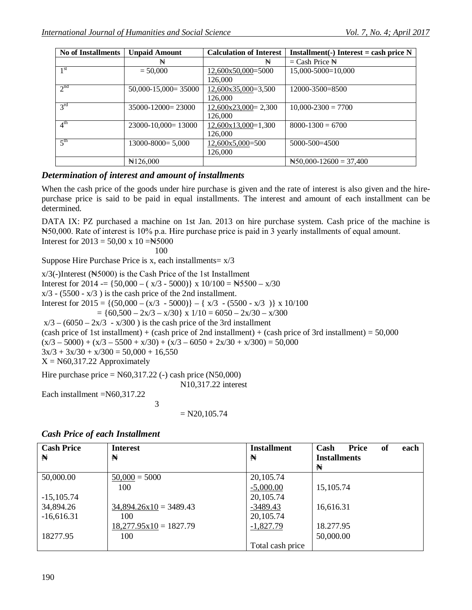| <b>No of Installments</b> | <b>Unpaid Amount</b>      | <b>Calculation of Interest</b> | $Instant(-) Interest = cash price N$ |
|---------------------------|---------------------------|--------------------------------|--------------------------------------|
|                           | Ħ                         | ₩                              | $=$ Cash Price $\mathbb{N}$          |
| 1 <sup>st</sup>           | $= 50,000$                | 12,600x50,000=5000             | 15,000-5000=10,000                   |
|                           |                           | 126,000                        |                                      |
| 2 <sup>nd</sup>           | $50,000 - 15,000 = 35000$ | 12,600x35,000=3,500            | 12000-3500=8500                      |
|                           |                           | 126,000                        |                                      |
| $2^{\text{rd}}$           | $35000 - 12000 = 23000$   | $12,600x23,000=2,300$          | $10,000 - 2300 = 7700$               |
|                           |                           | 126,000                        |                                      |
| 4 <sup>th</sup>           | $23000 - 10,000 = 13000$  | $12,600x13,000=1,300$          | $8000 - 1300 = 6700$                 |
|                           |                           | 126,000                        |                                      |
| 5 <sup>th</sup>           | $13000 - 8000 = 5,000$    | $12,600x5,000=500$             | $5000 - 500 = 4500$                  |
|                           |                           | 126,000                        |                                      |
|                           | $\mathbb{N}126,000$       |                                | $\text{N50,000-12600} = 37,400$      |

## *Determination of interest and amount of installments*

When the cash price of the goods under hire purchase is given and the rate of interest is also given and the hirepurchase price is said to be paid in equal installments. The interest and amount of each installment can be determined.

DATA IX: PZ purchased a machine on 1st Jan. 2013 on hire purchase system. Cash price of the machine is ₦50,000. Rate of interest is 10% p.a. Hire purchase price is paid in 3 yearly installments of equal amount. Interest for  $2013 = 50,00 \times 10 = 15000$ 

$$
100
$$

Suppose Hire Purchase Price is x, each installments= $x/3$ 

 $x/3$ (-)Interest (N $\div$ 5000) is the Cash Price of the 1st Installment Interest for 2014 -=  $\{50,000 - (x/3 - 5000)\} \times 10/100 = \text{N5500} - x/30$  $x/3$  - (5500 -  $x/3$ ) is the cash price of the 2nd installment. Interest for  $2015 = \{(50,000 - (x/3 - 5000)\} - \{x/3 - (5500 - x/3)\} \times 10/100$  $=$  {60,500 – 2x/3 – x/30} x 1/10 = 6050 – 2x/30 – x/300  $x/3 - (6050 - 2x/3 - x/300)$  is the cash price of the 3rd installment (cash price of 1st installment) + (cash price of 2nd installment) + (cash price of 3rd installment) =  $50,000$  $(x/3 - 5000) + (x/3 - 5500 + x/30) + (x/3 - 6050 + 2x/30 + x/300) = 50,000$  $3x/3 + 3x/30 + x/300 = 50,000 + 16,550$  $X = N60,317.22$  Approximately Hire purchase price =  $N60,317.22$  (-) cash price  $(N50,000)$ N10,317.22 interest Each installment =N60,317.22 3

 $= N20,105.74$ 

| <b>Cash Price</b> | <b>Interest</b>          | <b>Installment</b> | <b>Price</b><br>of<br>Cash<br>each |
|-------------------|--------------------------|--------------------|------------------------------------|
| N                 | N                        | N                  | <b>Installments</b>                |
|                   |                          |                    | N                                  |
| 50,000.00         | $50,000 = 5000$          | 20,105.74          |                                    |
|                   | 100                      | $-5,000.00$        | 15,105.74                          |
| $-15,105.74$      |                          | 20,105.74          |                                    |
| 34,894.26         | $34,894.26x10 = 3489.43$ | $-3489.43$         | 16,616.31                          |
| $-16,616.31$      | 100                      | 20,105.74          |                                    |
|                   | $18,277.95x10 = 1827.79$ | $-1,827.79$        | 18.277.95                          |
| 18277.95          | 100                      |                    | 50,000.00                          |
|                   |                          | Total cash price   |                                    |

|  | <b>Cash Price of each Installment</b> |  |  |  |  |
|--|---------------------------------------|--|--|--|--|
|--|---------------------------------------|--|--|--|--|